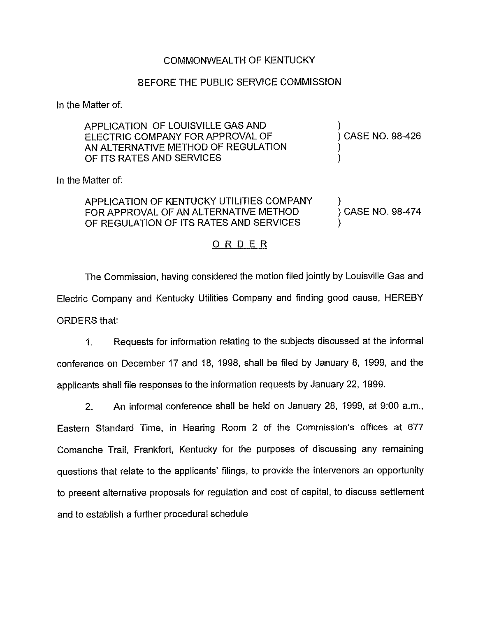## COMMONWEALTH OF KENTUCKY

## BEFORE THE PUBLIC SERVICE COMMISSION

In the Matter of:

| APPLICATION OF LOUISVILLE GAS AND<br>ELECTRIC COMPANY FOR APPROVAL OF<br>AN ALTERNATIVE METHOD OF REGULATION<br>OF ITS RATES AND SERVICES | ) CASE NO. 98-426 |
|-------------------------------------------------------------------------------------------------------------------------------------------|-------------------|
| In the Matter of:                                                                                                                         |                   |
| APPLICATION OF KENTUCKY UTILITIES COMPANY<br>FOR APPROVAL OF AN ALTERNATIVE METHOD<br>OF REGULATION OF ITS RATES AND SERVICES             | ) CASE NO. 98-474 |

## ORDER

The Commission, having considered the motion filed jointly by Louisville Gas and Electric Company and Kentucky Utilities Company and finding good cause, HEREBY ORDERS that:

1. Requests for information relating to the subjects discussed at the informal conference on December 17 and 18, 1998, shall be filed by January 8, 1999, and the applicants shall file responses to the information requests by January 22, 1999.

2. An informal conference shall be held on January 28, 1999, at 9:00 a.m., Eastern Standard Time, in Hearing Room 2 of the Commission's offices at 677 Comanche Trail, Frankfort, Kentucky for the purposes of discussing any remaining questions that relate to the applicants' filings, to provide the intervenors an opportunity to present alternative proposals for regulation and cost of capital, to discuss settlement and to establish a further procedural schedule.